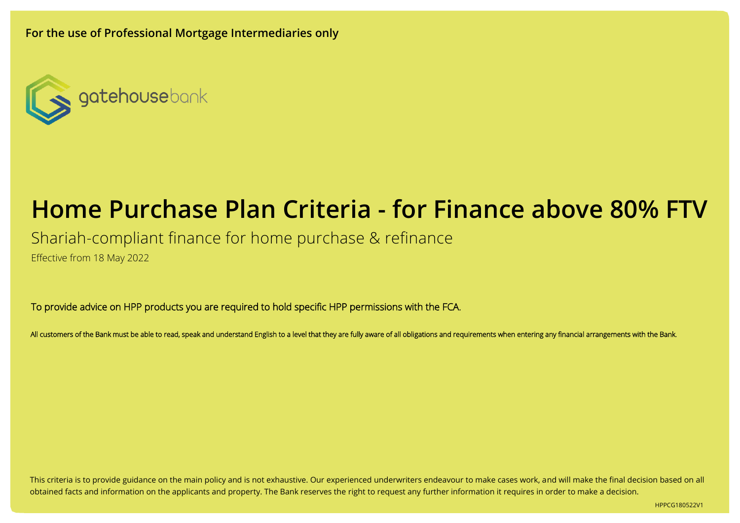**For the use of Professional Mortgage Intermediaries only**



# **Home Purchase Plan Criteria - for Finance above 80% FTV**

Shariah-compliant finance for home purchase & refinance

Effective from 18 May 2022

To provide advice on HPP products you are required to hold specific HPP permissions with the FCA.

All customers of the Bank must be able to read, speak and understand English to a level that they are fully aware of all obligations and requirements when entering any financial arrangements with the Bank.

This criteria is to provide guidance on the main policy and is not exhaustive. Our experienced underwriters endeavour to make cases work, and will make the final decision based on all obtained facts and information on the applicants and property. The Bank reserves the right to request any further information it requires in order to make a decision.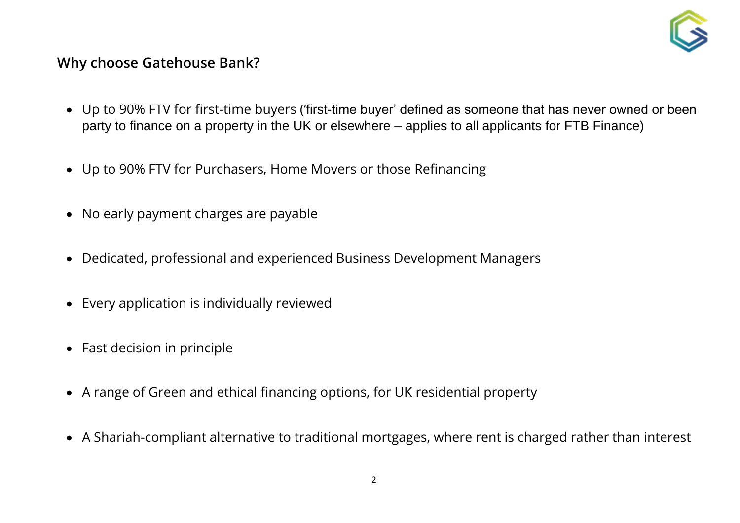

### **Why choose Gatehouse Bank?**

- Up to 90% FTV for first-time buyers ('first-time buyer' defined as someone that has never owned or been party to finance on a property in the UK or elsewhere – applies to all applicants for FTB Finance)
- Up to 90% FTV for Purchasers, Home Movers or those Refinancing
- No early payment charges are payable
- Dedicated, professional and experienced Business Development Managers
- Every application is individually reviewed
- Fast decision in principle
- A range of Green and ethical financing options, for UK residential property
- A Shariah-compliant alternative to traditional mortgages, where rent is charged rather than interest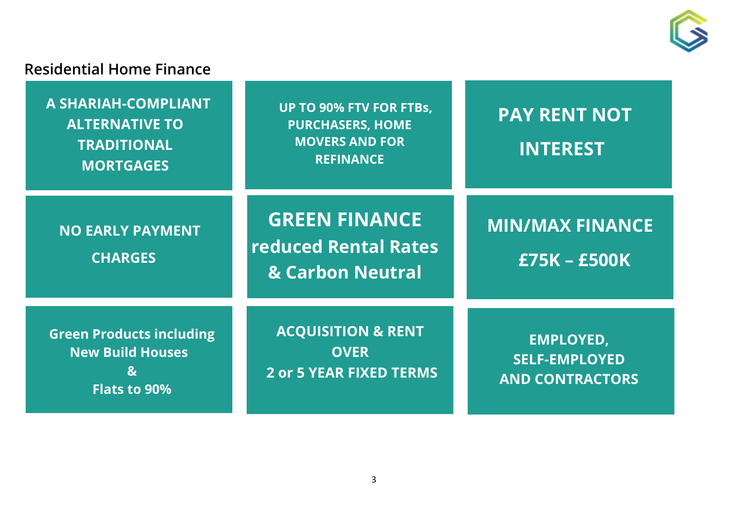

## **Residential Home Finance**

| A SHARIAH-COMPLIANT<br><b>ALTERNATIVE TO</b><br><b>TRADITIONAL</b><br><b>MORTGAGES</b>            | <b>UP TO 90% FTV FOR FTBs,</b><br><b>PURCHASERS, HOME</b><br><b>MOVERS AND FOR</b><br><b>REFINANCE</b> | <b>PAY RENT NOT</b><br><b>INTEREST</b>                             |
|---------------------------------------------------------------------------------------------------|--------------------------------------------------------------------------------------------------------|--------------------------------------------------------------------|
| <b>NO EARLY PAYMENT</b><br><b>CHARGES</b>                                                         | <b>GREEN FINANCE</b><br><b>reduced Rental Rates</b><br>& Carbon Neutral                                | <b>MIN/MAX FINANCE</b><br><b>£75K - £500K</b>                      |
| <b>Green Products including</b><br><b>New Build Houses</b><br>$\mathbf{g}$<br><b>Flats to 90%</b> | <b>ACQUISITION &amp; RENT</b><br><b>OVER</b><br><b>2 or 5 YEAR FIXED TERMS</b>                         | <b>EMPLOYED,</b><br><b>SELF-EMPLOYED</b><br><b>AND CONTRACTORS</b> |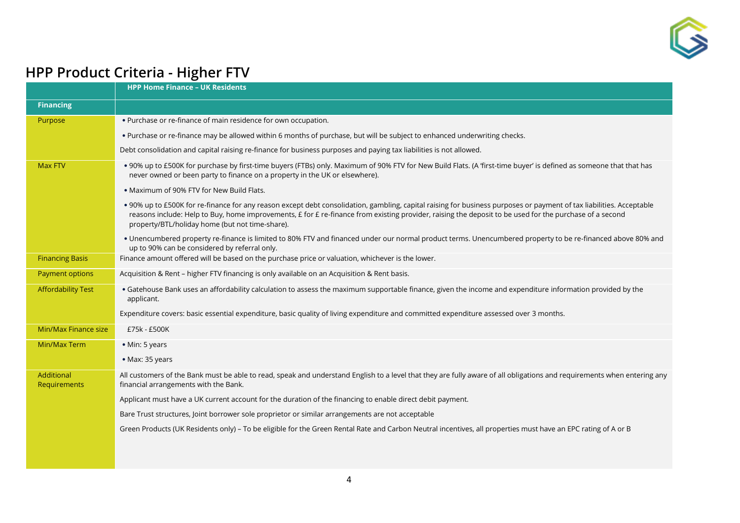

# **HPP Product Criteria - Higher FTV**

|                            | <b>HPP Home Finance - UK Residents</b>                                                                                                                                                                                                                                                                                                                                             |
|----------------------------|------------------------------------------------------------------------------------------------------------------------------------------------------------------------------------------------------------------------------------------------------------------------------------------------------------------------------------------------------------------------------------|
| <b>Financing</b>           |                                                                                                                                                                                                                                                                                                                                                                                    |
| Purpose                    | . Purchase or re-finance of main residence for own occupation.                                                                                                                                                                                                                                                                                                                     |
|                            | . Purchase or re-finance may be allowed within 6 months of purchase, but will be subject to enhanced underwriting checks.                                                                                                                                                                                                                                                          |
|                            | Debt consolidation and capital raising re-finance for business purposes and paying tax liabilities is not allowed.                                                                                                                                                                                                                                                                 |
| <b>Max FTV</b>             | . 90% up to £500K for purchase by first-time buyers (FTBs) only. Maximum of 90% FTV for New Build Flats. (A 'first-time buyer' is defined as someone that that has<br>never owned or been party to finance on a property in the UK or elsewhere).                                                                                                                                  |
|                            | . Maximum of 90% FTV for New Build Flats.                                                                                                                                                                                                                                                                                                                                          |
|                            | . 90% up to £500K for re-finance for any reason except debt consolidation, gambling, capital raising for business purposes or payment of tax liabilities. Acceptable<br>reasons include: Help to Buy, home improvements, £ for £ re-finance from existing provider, raising the deposit to be used for the purchase of a second<br>property/BTL/holiday home (but not time-share). |
|                            | • Unencumbered property re-finance is limited to 80% FTV and financed under our normal product terms. Unencumbered property to be re-financed above 80% and<br>up to 90% can be considered by referral only.                                                                                                                                                                       |
| <b>Financing Basis</b>     | Finance amount offered will be based on the purchase price or valuation, whichever is the lower.                                                                                                                                                                                                                                                                                   |
| <b>Payment options</b>     | Acquisition & Rent - higher FTV financing is only available on an Acquisition & Rent basis.                                                                                                                                                                                                                                                                                        |
| <b>Affordability Test</b>  | · Gatehouse Bank uses an affordability calculation to assess the maximum supportable finance, given the income and expenditure information provided by the<br>applicant.                                                                                                                                                                                                           |
|                            | Expenditure covers: basic essential expenditure, basic quality of living expenditure and committed expenditure assessed over 3 months.                                                                                                                                                                                                                                             |
| Min/Max Finance size       | £75k - £500K                                                                                                                                                                                                                                                                                                                                                                       |
| Min/Max Term               | • Min: 5 years                                                                                                                                                                                                                                                                                                                                                                     |
|                            | • Max: 35 years                                                                                                                                                                                                                                                                                                                                                                    |
| Additional<br>Requirements | All customers of the Bank must be able to read, speak and understand English to a level that they are fully aware of all obligations and requirements when entering any<br>financial arrangements with the Bank.                                                                                                                                                                   |
|                            | Applicant must have a UK current account for the duration of the financing to enable direct debit payment.                                                                                                                                                                                                                                                                         |
|                            | Bare Trust structures, Joint borrower sole proprietor or similar arrangements are not acceptable                                                                                                                                                                                                                                                                                   |
|                            | Green Products (UK Residents only) - To be eligible for the Green Rental Rate and Carbon Neutral incentives, all properties must have an EPC rating of A or B                                                                                                                                                                                                                      |
|                            |                                                                                                                                                                                                                                                                                                                                                                                    |
|                            |                                                                                                                                                                                                                                                                                                                                                                                    |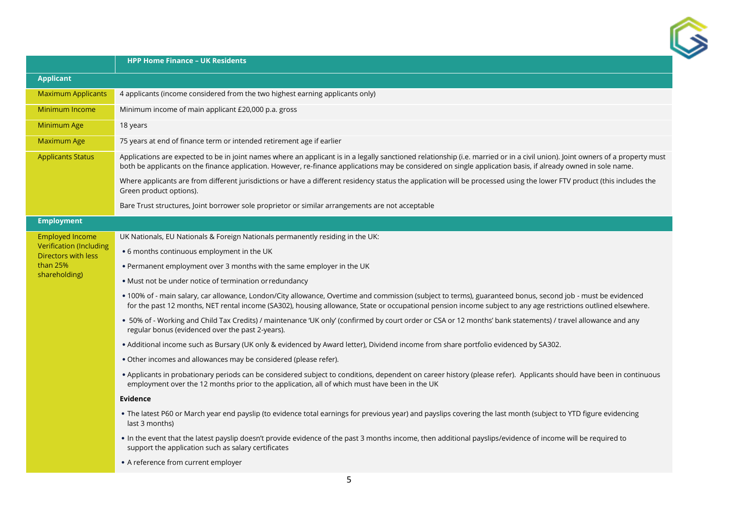

|                                                       | <b>HPP Home Finance - UK Residents</b>                                                                                                                                                                                                                                                                                                         |
|-------------------------------------------------------|------------------------------------------------------------------------------------------------------------------------------------------------------------------------------------------------------------------------------------------------------------------------------------------------------------------------------------------------|
| <b>Applicant</b>                                      |                                                                                                                                                                                                                                                                                                                                                |
| <b>Maximum Applicants</b>                             | 4 applicants (income considered from the two highest earning applicants only)                                                                                                                                                                                                                                                                  |
| Minimum Income                                        | Minimum income of main applicant £20,000 p.a. gross                                                                                                                                                                                                                                                                                            |
| Minimum Age                                           | 18 years                                                                                                                                                                                                                                                                                                                                       |
| <b>Maximum Age</b>                                    | 75 years at end of finance term or intended retirement age if earlier                                                                                                                                                                                                                                                                          |
| <b>Applicants Status</b>                              | Applications are expected to be in joint names where an applicant is in a legally sanctioned relationship (i.e. married or in a civil union). Joint owners of a property must<br>both be applicants on the finance application. However, re-finance applications may be considered on single application basis, if already owned in sole name. |
|                                                       | Where applicants are from different jurisdictions or have a different residency status the application will be processed using the lower FTV product (this includes the<br>Green product options).                                                                                                                                             |
|                                                       | Bare Trust structures, Joint borrower sole proprietor or similar arrangements are not acceptable                                                                                                                                                                                                                                               |
| <b>Employment</b>                                     |                                                                                                                                                                                                                                                                                                                                                |
| <b>Employed Income</b>                                | UK Nationals, EU Nationals & Foreign Nationals permanently residing in the UK:                                                                                                                                                                                                                                                                 |
| <b>Verification (Including</b><br>Directors with less | • 6 months continuous employment in the UK                                                                                                                                                                                                                                                                                                     |
| than $25%$<br>shareholding)                           | . Permanent employment over 3 months with the same employer in the UK                                                                                                                                                                                                                                                                          |
|                                                       | · Must not be under notice of termination or redundancy                                                                                                                                                                                                                                                                                        |
|                                                       | • 100% of - main salary, car allowance, London/City allowance, Overtime and commission (subject to terms), guaranteed bonus, second job - must be evidenced<br>for the past 12 months, NET rental income (SA302), housing allowance, State or occupational pension income subject to any age restrictions outlined elsewhere.                  |
|                                                       | . 50% of - Working and Child Tax Credits) / maintenance 'UK only' (confirmed by court order or CSA or 12 months' bank statements) / travel allowance and any<br>regular bonus (evidenced over the past 2-years).                                                                                                                               |
|                                                       | . Additional income such as Bursary (UK only & evidenced by Award letter), Dividend income from share portfolio evidenced by SA302.                                                                                                                                                                                                            |
|                                                       | . Other incomes and allowances may be considered (please refer).                                                                                                                                                                                                                                                                               |
|                                                       | . Applicants in probationary periods can be considered subject to conditions, dependent on career history (please refer). Applicants should have been in continuous<br>employment over the 12 months prior to the application, all of which must have been in the UK                                                                           |
|                                                       | <b>Evidence</b>                                                                                                                                                                                                                                                                                                                                |
|                                                       | . The latest P60 or March year end payslip (to evidence total earnings for previous year) and payslips covering the last month (subject to YTD figure evidencing<br>last 3 months)                                                                                                                                                             |
|                                                       | . In the event that the latest payslip doesn't provide evidence of the past 3 months income, then additional payslips/evidence of income will be required to<br>support the application such as salary certificates                                                                                                                            |
|                                                       | • A reference from current employer                                                                                                                                                                                                                                                                                                            |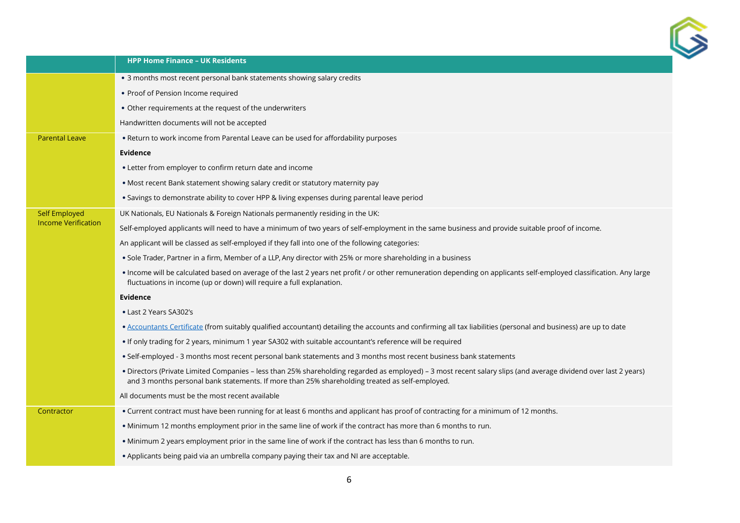

|                            | <b>HPP Home Finance - UK Residents</b>                                                                                                                                                                                                                            |
|----------------------------|-------------------------------------------------------------------------------------------------------------------------------------------------------------------------------------------------------------------------------------------------------------------|
|                            | • 3 months most recent personal bank statements showing salary credits                                                                                                                                                                                            |
|                            | • Proof of Pension Income required                                                                                                                                                                                                                                |
|                            | • Other requirements at the request of the underwriters                                                                                                                                                                                                           |
|                            | Handwritten documents will not be accepted                                                                                                                                                                                                                        |
| <b>Parental Leave</b>      | . Return to work income from Parental Leave can be used for affordability purposes                                                                                                                                                                                |
|                            | <b>Evidence</b>                                                                                                                                                                                                                                                   |
|                            | • Letter from employer to confirm return date and income                                                                                                                                                                                                          |
|                            | . Most recent Bank statement showing salary credit or statutory maternity pay                                                                                                                                                                                     |
|                            | . Savings to demonstrate ability to cover HPP & living expenses during parental leave period                                                                                                                                                                      |
| <b>Self Employed</b>       | UK Nationals, EU Nationals & Foreign Nationals permanently residing in the UK:                                                                                                                                                                                    |
| <b>Income Verification</b> | Self-employed applicants will need to have a minimum of two years of self-employment in the same business and provide suitable proof of income.                                                                                                                   |
|                            | An applicant will be classed as self-employed if they fall into one of the following categories:                                                                                                                                                                  |
|                            | • Sole Trader, Partner in a firm, Member of a LLP, Any director with 25% or more shareholding in a business                                                                                                                                                       |
|                            | . Income will be calculated based on average of the last 2 years net profit / or other remuneration depending on applicants self-employed classification. Any large<br>fluctuations in income (up or down) will require a full explanation.                       |
|                            | <b>Evidence</b>                                                                                                                                                                                                                                                   |
|                            | • Last 2 Years SA302's                                                                                                                                                                                                                                            |
|                            | . Accountants Certificate (from suitably qualified accountant) detailing the accounts and confirming all tax liabilities (personal and business) are up to date                                                                                                   |
|                            | If only trading for 2 years, minimum 1 year SA302 with suitable accountant's reference will be required                                                                                                                                                           |
|                            | . Self-employed - 3 months most recent personal bank statements and 3 months most recent business bank statements                                                                                                                                                 |
|                            | · Directors (Private Limited Companies - less than 25% shareholding regarded as employed) - 3 most recent salary slips (and average dividend over last 2 years)<br>and 3 months personal bank statements. If more than 25% shareholding treated as self-employed. |
|                            | All documents must be the most recent available                                                                                                                                                                                                                   |
| Contractor                 | . Current contract must have been running for at least 6 months and applicant has proof of contracting for a minimum of 12 months.                                                                                                                                |
|                            | . Minimum 12 months employment prior in the same line of work if the contract has more than 6 months to run.                                                                                                                                                      |
|                            | . Minimum 2 years employment prior in the same line of work if the contract has less than 6 months to run.                                                                                                                                                        |
|                            | . Applicants being paid via an umbrella company paying their tax and NI are acceptable.                                                                                                                                                                           |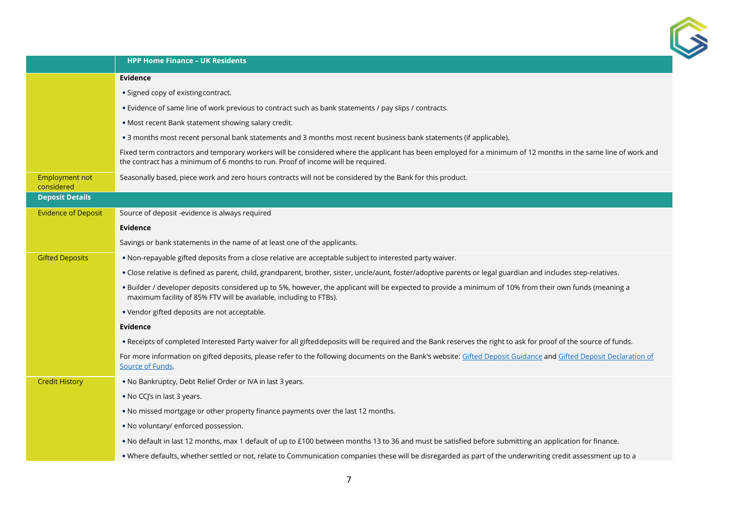

|                              | <b>HPP Home Finance - UK Residents</b>                                                                                                                                                                                                            |
|------------------------------|---------------------------------------------------------------------------------------------------------------------------------------------------------------------------------------------------------------------------------------------------|
|                              | Evidence                                                                                                                                                                                                                                          |
|                              | • Signed copy of existing contract.                                                                                                                                                                                                               |
|                              | . Evidence of same line of work previous to contract such as bank statements / pay slips / contracts.                                                                                                                                             |
|                              | . Most recent Bank statement showing salary credit.                                                                                                                                                                                               |
|                              | . 3 months most recent personal bank statements and 3 months most recent business bank statements (if applicable).                                                                                                                                |
|                              | Fixed term contractors and temporary workers will be considered where the applicant has been employed for a minimum of 12 months in the same line of work and<br>the contract has a minimum of 6 months to run. Proof of income will be required. |
| Employment not<br>considered | Seasonally based, piece work and zero hours contracts will not be considered by the Bank for this product.                                                                                                                                        |
| <b>Deposit Details</b>       |                                                                                                                                                                                                                                                   |
| <b>Evidence of Deposit</b>   | Source of deposit -evidence is always required                                                                                                                                                                                                    |
|                              | <b>Evidence</b>                                                                                                                                                                                                                                   |
|                              | Savings or bank statements in the name of at least one of the applicants.                                                                                                                                                                         |
| <b>Gifted Deposits</b>       | . Non-repayable gifted deposits from a close relative are acceptable subject to interested party waiver.                                                                                                                                          |
|                              | . Close relative is defined as parent, child, grandparent, brother, sister, uncle/aunt, foster/adoptive parents or legal guardian and includes step-relatives.                                                                                    |
|                              | . Builder / developer deposits considered up to 5%, however, the applicant will be expected to provide a minimum of 10% from their own funds (meaning a<br>maximum facility of 85% FTV will be available, including to FTBs).                     |
|                              | . Vendor gifted deposits are not acceptable.                                                                                                                                                                                                      |
|                              | Evidence                                                                                                                                                                                                                                          |
|                              | . Receipts of completed Interested Party waiver for all gifted deposits will be required and the Bank reserves the right to ask for proof of the source of funds.                                                                                 |
|                              | For more information on gifted deposits, please refer to the following documents on the Bank's website: Gifted Deposit Guidance and Gifted Deposit Declaration of<br>Source of Funds.                                                             |
| <b>Credit History</b>        | . No Bankruptcy, Debt Relief Order or IVA in last 3 years.                                                                                                                                                                                        |
|                              | • No CCJ's in last 3 years.                                                                                                                                                                                                                       |
|                              | . No missed mortgage or other property finance payments over the last 12 months.                                                                                                                                                                  |
|                              | . No voluntary/ enforced possession.                                                                                                                                                                                                              |
|                              | . No default in last 12 months, max 1 default of up to £100 between months 13 to 36 and must be satisfied before submitting an application for finance.                                                                                           |
|                              | . Where defaults, whether settled or not, relate to Communication companies these will be disregarded as part of the underwriting credit assessment up to a                                                                                       |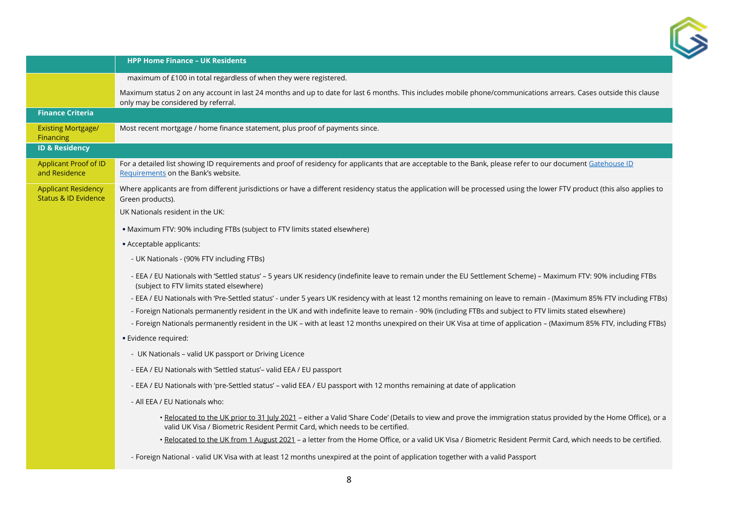

|                                                               | <b>HPP Home Finance - UK Residents</b>                                                                                                                                                                                                         |
|---------------------------------------------------------------|------------------------------------------------------------------------------------------------------------------------------------------------------------------------------------------------------------------------------------------------|
|                                                               | maximum of £100 in total regardless of when they were registered.                                                                                                                                                                              |
|                                                               | Maximum status 2 on any account in last 24 months and up to date for last 6 months. This includes mobile phone/communications arrears. Cases outside this clause<br>only may be considered by referral.                                        |
| <b>Finance Criteria</b>                                       |                                                                                                                                                                                                                                                |
| <b>Existing Mortgage/</b><br>Financing                        | Most recent mortgage / home finance statement, plus proof of payments since.                                                                                                                                                                   |
| <b>ID &amp; Residency</b>                                     |                                                                                                                                                                                                                                                |
| Applicant Proof of ID<br>and Residence                        | For a detailed list showing ID requirements and proof of residency for applicants that are acceptable to the Bank, please refer to our document Gatehouse ID<br>Requirements on the Bank's website.                                            |
| <b>Applicant Residency</b><br><b>Status &amp; ID Evidence</b> | Where applicants are from different jurisdictions or have a different residency status the application will be processed using the lower FTV product (this also applies to<br>Green products).                                                 |
|                                                               | UK Nationals resident in the UK:                                                                                                                                                                                                               |
|                                                               | • Maximum FTV: 90% including FTBs (subject to FTV limits stated elsewhere)                                                                                                                                                                     |
|                                                               | • Acceptable applicants:                                                                                                                                                                                                                       |
|                                                               | - UK Nationals - (90% FTV including FTBs)                                                                                                                                                                                                      |
|                                                               | - EEA / EU Nationals with 'Settled status' - 5 years UK residency (indefinite leave to remain under the EU Settlement Scheme) - Maximum FTV: 90% including FTBs<br>(subject to FTV limits stated elsewhere)                                    |
|                                                               | - EEA / EU Nationals with 'Pre-Settled status' - under 5 years UK residency with at least 12 months remaining on leave to remain - (Maximum 85% FTV including FTBs)                                                                            |
|                                                               | - Foreign Nationals permanently resident in the UK and with indefinite leave to remain - 90% (including FTBs and subject to FTV limits stated elsewhere)                                                                                       |
|                                                               | - Foreign Nationals permanently resident in the UK - with at least 12 months unexpired on their UK Visa at time of application - (Maximum 85% FTV, including FTBs)                                                                             |
|                                                               | • Evidence required:                                                                                                                                                                                                                           |
|                                                               | - UK Nationals - valid UK passport or Driving Licence                                                                                                                                                                                          |
|                                                               | - EEA / EU Nationals with 'Settled status'- valid EEA / EU passport                                                                                                                                                                            |
|                                                               | - EEA / EU Nationals with 'pre-Settled status' - valid EEA / EU passport with 12 months remaining at date of application                                                                                                                       |
|                                                               | - All EEA / EU Nationals who:                                                                                                                                                                                                                  |
|                                                               | . Relocated to the UK prior to 31 July 2021 - either a Valid 'Share Code' (Details to view and prove the immigration status provided by the Home Office), or a<br>valid UK Visa / Biometric Resident Permit Card, which needs to be certified. |
|                                                               | · Relocated to the UK from 1 August 2021 - a letter from the Home Office, or a valid UK Visa / Biometric Resident Permit Card, which needs to be certified.                                                                                    |
|                                                               | - Foreign National - valid UK Visa with at least 12 months unexpired at the point of application together with a valid Passport                                                                                                                |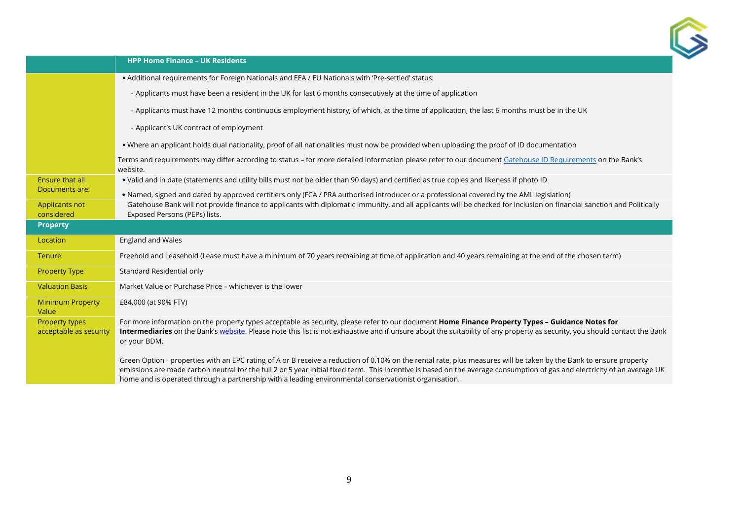

|                                          | <b>HPP Home Finance - UK Residents</b>                                                                                                                                                                                                                                                                                                                                                                                                                   |
|------------------------------------------|----------------------------------------------------------------------------------------------------------------------------------------------------------------------------------------------------------------------------------------------------------------------------------------------------------------------------------------------------------------------------------------------------------------------------------------------------------|
|                                          | • Additional requirements for Foreign Nationals and EEA / EU Nationals with 'Pre-settled' status:                                                                                                                                                                                                                                                                                                                                                        |
|                                          | - Applicants must have been a resident in the UK for last 6 months consecutively at the time of application                                                                                                                                                                                                                                                                                                                                              |
|                                          | - Applicants must have 12 months continuous employment history; of which, at the time of application, the last 6 months must be in the UK                                                                                                                                                                                                                                                                                                                |
|                                          | - Applicant's UK contract of employment                                                                                                                                                                                                                                                                                                                                                                                                                  |
|                                          | . Where an applicant holds dual nationality, proof of all nationalities must now be provided when uploading the proof of ID documentation                                                                                                                                                                                                                                                                                                                |
|                                          | Terms and requirements may differ according to status - for more detailed information please refer to our document Gatehouse ID Requirements on the Bank's<br>website.                                                                                                                                                                                                                                                                                   |
| Ensure that all                          | . Valid and in date (statements and utility bills must not be older than 90 days) and certified as true copies and likeness if photo ID                                                                                                                                                                                                                                                                                                                  |
| Documents are:                           | . Named, signed and dated by approved certifiers only (FCA / PRA authorised introducer or a professional covered by the AML legislation)                                                                                                                                                                                                                                                                                                                 |
| Applicants not<br>considered             | Gatehouse Bank will not provide finance to applicants with diplomatic immunity, and all applicants will be checked for inclusion on financial sanction and Politically<br>Exposed Persons (PEPs) lists.                                                                                                                                                                                                                                                  |
| <b>Property</b>                          |                                                                                                                                                                                                                                                                                                                                                                                                                                                          |
| Location                                 | England and Wales                                                                                                                                                                                                                                                                                                                                                                                                                                        |
| Tenure                                   | Freehold and Leasehold (Lease must have a minimum of 70 years remaining at time of application and 40 years remaining at the end of the chosen term)                                                                                                                                                                                                                                                                                                     |
| <b>Property Type</b>                     | Standard Residential only                                                                                                                                                                                                                                                                                                                                                                                                                                |
| <b>Valuation Basis</b>                   | Market Value or Purchase Price - whichever is the lower                                                                                                                                                                                                                                                                                                                                                                                                  |
| <b>Minimum Property</b><br>Value         | £84,000 (at 90% FTV)                                                                                                                                                                                                                                                                                                                                                                                                                                     |
| Property types<br>acceptable as security | For more information on the property types acceptable as security, please refer to our document Home Finance Property Types - Guidance Notes for<br>Intermediaries on the Bank's website. Please note this list is not exhaustive and if unsure about the suitability of any property as security, you should contact the Bank<br>or your BDM.                                                                                                           |
|                                          | Green Option - properties with an EPC rating of A or B receive a reduction of 0.10% on the rental rate, plus measures will be taken by the Bank to ensure property<br>emissions are made carbon neutral for the full 2 or 5 year initial fixed term. This incentive is based on the average consumption of gas and electricity of an average UK<br>home and is operated through a partnership with a leading environmental conservationist organisation. |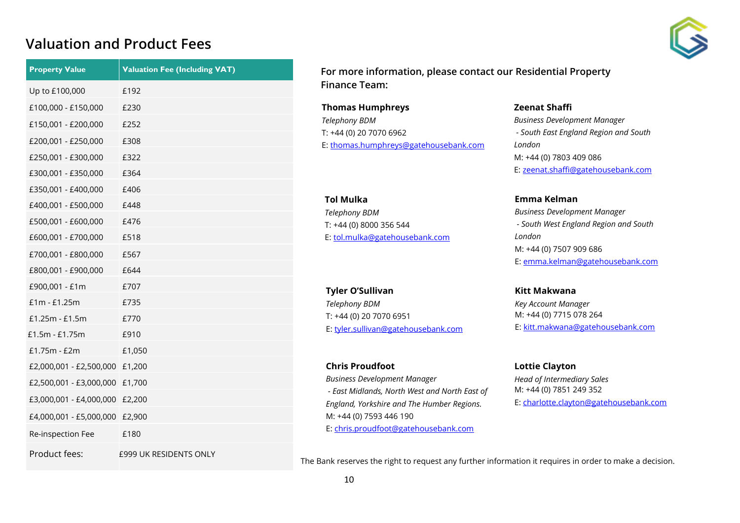#### **Valuation and Product Fees**



| <b>Property Value</b>   | <b>Valuation Fee (Including VAT)</b> |
|-------------------------|--------------------------------------|
| Up to £100,000          | £192                                 |
| £100,000 - £150,000     | £230                                 |
| £150,001 - £200,000     | £252                                 |
| £200,001 - £250,000     | £308                                 |
| £250,001 - £300,000     | £322                                 |
| £300,001 - £350,000     | £364                                 |
| £350,001 - £400,000     | £406                                 |
| £400,001 - £500,000     | £448                                 |
| £500,001 - £600,000     | £476                                 |
| £600,001 - £700,000     | £518                                 |
| £700,001 - £800,000     | £567                                 |
| £800,001 - £900,000     | £644                                 |
| £900,001 - £1m          | £707                                 |
| £1m - £1.25m            | £735                                 |
| £1.25m - £1.5m          | £770                                 |
| £1.5m - £1.75m          | £910                                 |
| £1.75m - £2m            | £1,050                               |
| £2,000,001 - £2,500,000 | £1,200                               |
| £2,500,001 - £3,000,000 | £1,700                               |
| £3,000,001 - £4,000,000 | £2,200                               |
| £4,000,001 - £5,000,000 | £2,900                               |
| Re-inspection Fee       | £180                                 |
| Product fees:           | £999 UK RESIDENTS ONLY               |

**For more information, please contact our Residential Property Finance Team:**

**Thomas Humphreys** *Telephony BDM*  T: +44 (0) 20 7070 6962 E[: thomas.humphreys@gatehousebank.com](mailto:thomas.humphreys@gatehousebank.com)

**Tol Mulka** *Telephony BDM*  T: +44 (0) 8000 356 544 E[: tol.mulka@gatehousebank.com](mailto:tol.mulka@gatehousebank.com)

**Tyler O'Sullivan** *Telephony BDM*  T: +44 (0) 20 7070 6951 E[: tyler.sullivan@gatehousebank.com](mailto:tyler.sullivan@gatehousebank.com)

**Chris Proudfoot** *Business Development Manager - East Midlands, North West and North East of England, Yorkshire and The Humber Regions.* M: +44 (0) 7593 446 190 E[: chris.proudfoot@gatehousebank.com](mailto:chris.proudfoot@gatehousebank.com)

**Zeenat Shaffi**

*Business Development Manager - South East England Region and South London* M: +44 (0) 7803 409 086 E[: zeenat.shaffi@gatehousebank.com](mailto:zeenat.shaffi@gatehousebank.com)

**Emma Kelman** *Business Development Manager - South West England Region and South London* M: +44 (0) 7507 909 686 E[: emma.kelman@gatehousebank.com](mailto:emma.kelman@gatehousebank.com)

**Kitt Makwana** *Key Account Manager* M: +44 (0) 7715 078 264 E[: kitt.makwana@gatehousebank.com](mailto:kitt.makwana@gatehousebank.com)

**Lottie Clayton** *Head of Intermediary Sales* M: +44 (0) 7851 249 352 E: [charlotte.clayton@gatehousebank.com](mailto:charlotte.clayton@gatehousebank.com)

The Bank reserves the right to request any further information it requires in order to make a decision.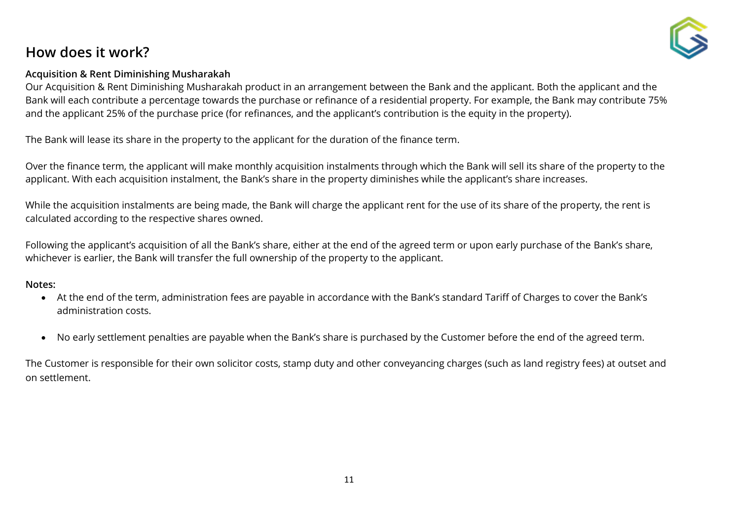## **How does it work?**



Our Acquisition & Rent Diminishing Musharakah product in an arrangement between the Bank and the applicant. Both the applicant and the Bank will each contribute a percentage towards the purchase or refinance of a residential property. For example, the Bank may contribute 75% and the applicant 25% of the purchase price (for refinances, and the applicant's contribution is the equity in the property).

The Bank will lease its share in the property to the applicant for the duration of the finance term.

Over the finance term, the applicant will make monthly acquisition instalments through which the Bank will sell its share of the property to the applicant. With each acquisition instalment, the Bank's share in the property diminishes while the applicant's share increases.

While the acquisition instalments are being made, the Bank will charge the applicant rent for the use of its share of the property, the rent is calculated according to the respective shares owned.

Following the applicant's acquisition of all the Bank's share, either at the end of the agreed term or upon early purchase of the Bank's share, whichever is earlier, the Bank will transfer the full ownership of the property to the applicant.

#### **Notes:**

- At the end of the term, administration fees are payable in accordance with the Bank's standard Tariff of Charges to cover the Bank's administration costs.
- No early settlement penalties are payable when the Bank's share is purchased by the Customer before the end of the agreed term.

The Customer is responsible for their own solicitor costs, stamp duty and other conveyancing charges (such as land registry fees) at outset and on settlement.